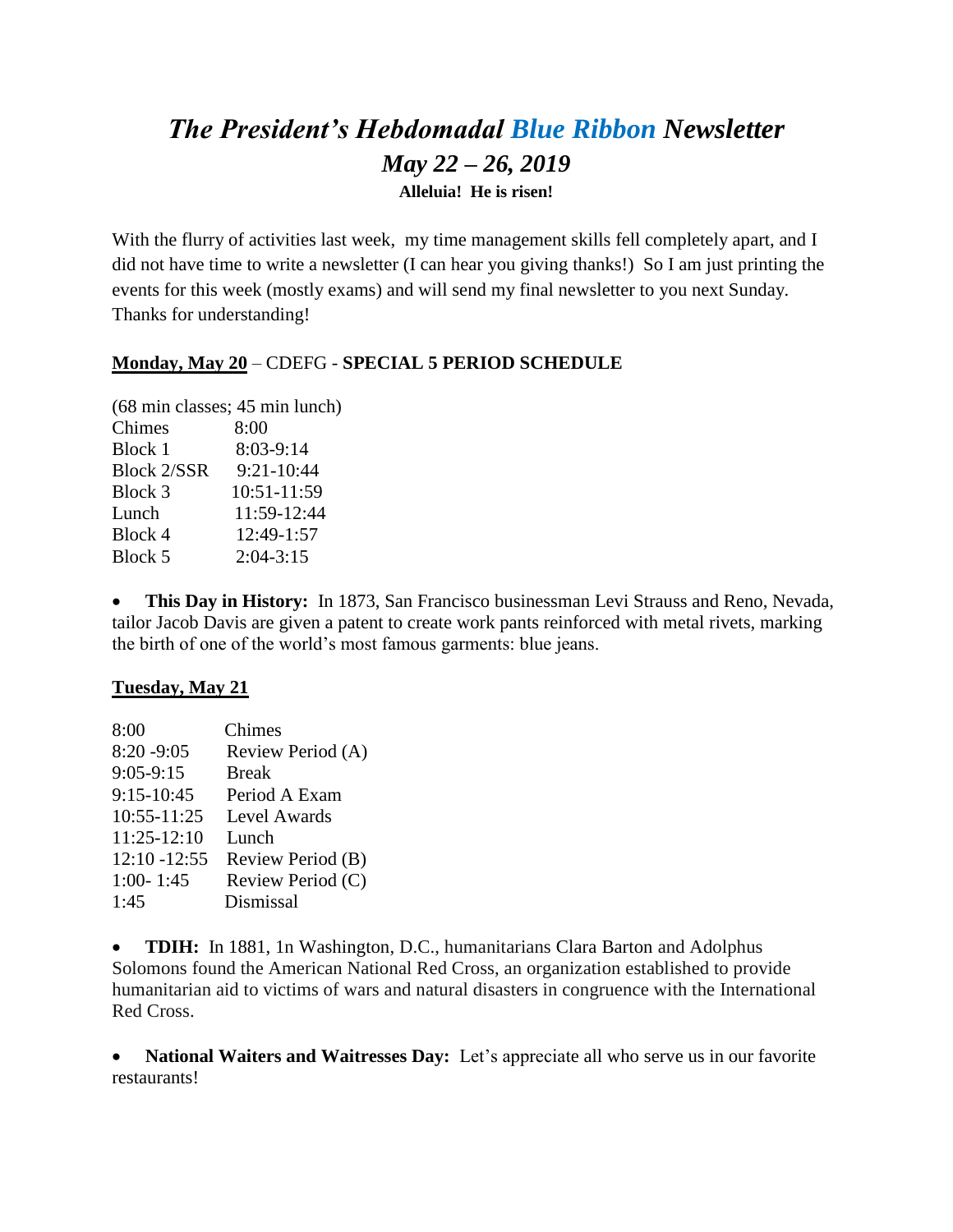# *The President's Hebdomadal Blue Ribbon Newsletter May 22 – 26, 2019* **Alleluia! He is risen!**

With the flurry of activities last week, my time management skills fell completely apart, and I did not have time to write a newsletter (I can hear you giving thanks!) So I am just printing the events for this week (mostly exams) and will send my final newsletter to you next Sunday. Thanks for understanding!

## **Monday, May 20** – CDEFG - **SPECIAL 5 PERIOD SCHEDULE**

(68 min classes; 45 min lunch) Chimes 8:00 Block 1 8:03-9:14 Block 2/SSR 9:21-10:44 Block 3 10:51-11:59 Lunch 11:59-12:44 Block 4 12:49-1:57 Block 5 2:04-3:15

 **This Day in History:** In 1873, San Francisco businessman Levi Strauss and Reno, Nevada, tailor Jacob Davis are given a patent to create work pants reinforced with metal rivets, marking the birth of one of the world's most famous garments: blue jeans.

## **Tuesday, May 21**

| 8:00            | Chimes            |
|-----------------|-------------------|
| $8:20 - 9:05$   | Review Period (A) |
| $9:05-9:15$     | <b>Break</b>      |
| $9:15-10:45$    | Period A Exam     |
| 10:55-11:25     | Level Awards      |
| $11:25-12:10$   | Lunch             |
| $12:10 - 12:55$ | Review Period (B) |
| $1:00 - 1:45$   | Review Period (C) |
| 1:45            | Dismissal         |

 **TDIH:** In 1881, 1n Washington, D.C., humanitarians Clara Barton and Adolphus Solomons found the American National Red Cross, an organization established to provide humanitarian aid to victims of wars and natural disasters in congruence with the International Red Cross.

 **National Waiters and Waitresses Day:** Let's appreciate all who serve us in our favorite restaurants!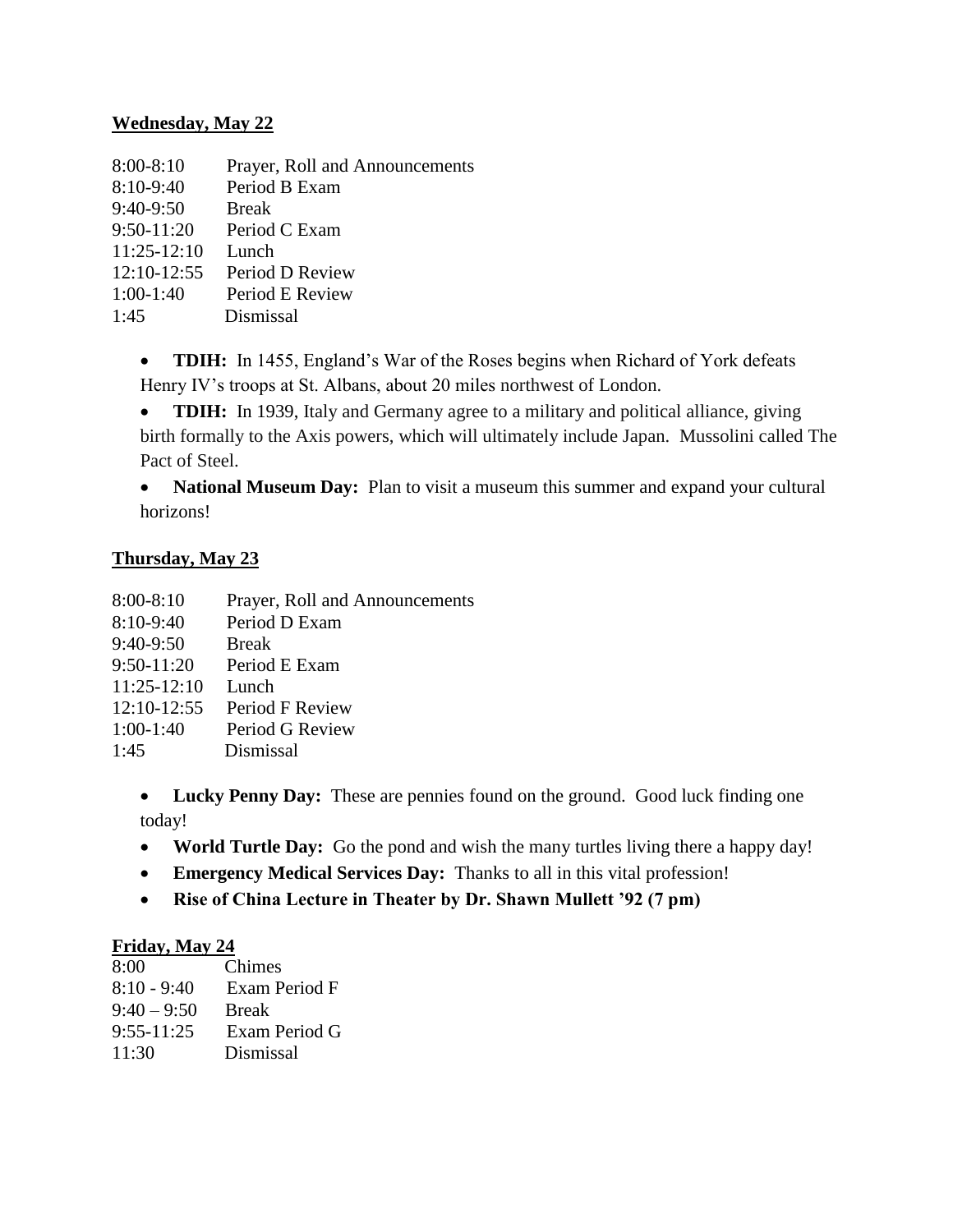### **Wednesday, May 22**

| $8:00-8:10$   | Prayer, Roll and Announcements |
|---------------|--------------------------------|
| $8:10-9:40$   | Period B Exam                  |
| $9:40-9:50$   | <b>Break</b>                   |
| $9:50-11:20$  | Period C Exam                  |
| $11:25-12:10$ | Lunch                          |
| $12:10-12:55$ | Period D Review                |
| $1:00-1:40$   | Period E Review                |
| 1:45          | Dismissal                      |

• **TDIH:** In 1455, England's War of the Roses begins when Richard of York defeats Henry IV's troops at St. Albans, about 20 miles northwest of London.

• **TDIH:** In 1939, Italy and Germany agree to a military and political alliance, giving birth formally to the Axis powers, which will ultimately include Japan. Mussolini called The Pact of Steel.

 **National Museum Day:** Plan to visit a museum this summer and expand your cultural horizons!

### **Thursday, May 23**

| 8:00-8:10     | Prayer, Roll and Announcements |
|---------------|--------------------------------|
| $8:10-9:40$   | Period D Exam                  |
| $9:40-9:50$   | <b>Break</b>                   |
| $9:50-11:20$  | Period E Exam                  |
| $11:25-12:10$ | Lunch                          |
| $12:10-12:55$ | Period F Review                |
| $1:00-1:40$   | Period G Review                |
| 1:45          | Dismissal                      |
|               |                                |

• Lucky Penny Day: These are pennies found on the ground. Good luck finding one today!

- **World Turtle Day:** Go the pond and wish the many turtles living there a happy day!
- **Emergency Medical Services Day:** Thanks to all in this vital profession!
- **Rise of China Lecture in Theater by Dr. Shawn Mullett '92 (7 pm)**

## **Friday, May 24**

| 8:00           | Chimes        |
|----------------|---------------|
| $8:10 - 9:40$  | Exam Period F |
| $9:40 - 9:50$  | <b>Break</b>  |
| $9:55 - 11:25$ | Exam Period G |
| 11:30          | Dismissal     |